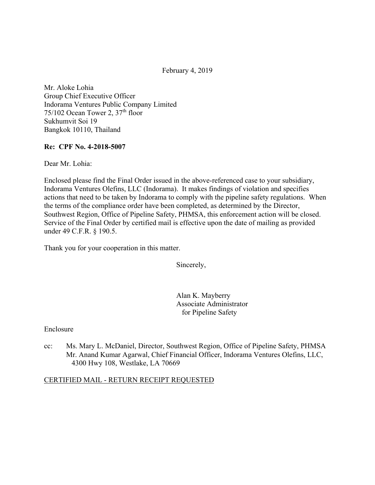February 4, 2019

Mr. Aloke Lohia Group Chief Executive Officer Indorama Ventures Public Company Limited  $75/102$  Ocean Tower 2,  $37<sup>th</sup>$  floor Sukhumvit Soi 19 Bangkok 10110, Thailand

### **Re: CPF No. 4-2018-5007**

Dear Mr. Lohia:

Enclosed please find the Final Order issued in the above-referenced case to your subsidiary, Indorama Ventures Olefins, LLC (Indorama). It makes findings of violation and specifies actions that need to be taken by Indorama to comply with the pipeline safety regulations. When the terms of the compliance order have been completed, as determined by the Director, Southwest Region, Office of Pipeline Safety, PHMSA, this enforcement action will be closed. Service of the Final Order by certified mail is effective upon the date of mailing as provided under 49 C.F.R. § 190.5.

Thank you for your cooperation in this matter.

Sincerely,

Alan K. Mayberry Associate Administrator for Pipeline Safety

#### Enclosure

cc: Ms. Mary L. McDaniel, Director, Southwest Region, Office of Pipeline Safety, PHMSA Mr. Anand Kumar Agarwal, Chief Financial Officer, Indorama Ventures Olefins, LLC, 4300 Hwy 108, Westlake, LA 70669

### CERTIFIED MAIL - RETURN RECEIPT REQUESTED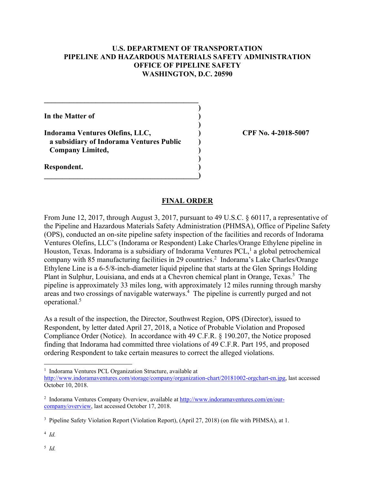## **U.S. DEPARTMENT OF TRANSPORTATION PIPELINE AND HAZARDOUS MATERIALS SAFETY ADMINISTRATION OFFICE OF PIPELINE SAFETY WASHINGTON, D.C. 20590**

 **)**

 **)**

 **)**

**In the Matter of )**

**Indorama Ventures Olefins, LLC, ) CPF No. 4-2018-5007 a subsidiary of Indorama Ventures Public ) Company Limited, )** 

**\_\_\_\_\_\_\_\_\_\_\_\_\_\_\_\_\_\_\_\_\_\_\_\_\_\_\_\_\_\_\_\_\_\_\_\_\_\_\_\_\_\_)** 

 $\mathcal{L} = \{ \mathcal{L} \}$ 

**Respondent. )** 

### **FINAL ORDER**

From June 12, 2017, through August 3, 2017, pursuant to 49 U.S.C. § 60117, a representative of the Pipeline and Hazardous Materials Safety Administration (PHMSA), Office of Pipeline Safety (OPS), conducted an on-site pipeline safety inspection of the facilities and records of Indorama Ventures Olefins, LLC's (Indorama or Respondent) Lake Charles/Orange Ethylene pipeline in Houston, Texas. Indorama is a subsidiary of Indorama Ventures PCL,<sup>1</sup> a global petrochemical company with 85 manufacturing facilities in 29 countries.<sup>2</sup> Indorama's Lake Charles/Orange Ethylene Line is a 6-5/8-inch-diameter liquid pipeline that starts at the Glen Springs Holding Plant in Sulphur, Louisiana, and ends at a Chevron chemical plant in Orange, Texas.<sup>3</sup> The pipeline is approximately 33 miles long, with approximately 12 miles running through marshy areas and two crossings of navigable waterways.<sup>4</sup> The pipeline is currently purged and not operational.5

As a result of the inspection, the Director, Southwest Region, OPS (Director), issued to Respondent, by letter dated April 27, 2018, a Notice of Probable Violation and Proposed Compliance Order (Notice). In accordance with 49 C.F.R. § 190.207, the Notice proposed finding that Indorama had committed three violations of 49 C.F.R. Part 195, and proposed ordering Respondent to take certain measures to correct the alleged violations.

<sup>4</sup> *Id.* 

1

<sup>&</sup>lt;sup>1</sup> Indorama Ventures PCL Organization Structure, available at

<http://www.indoramaventures.com/storage/company/organization-chart/20181002-orgchart-en.jpg>, last accessed October 10, 2018.

<sup>&</sup>lt;sup>2</sup> Indorama Ventures Company Overview, available at <http://www.indoramaventures.com/en/our>company/overview, last accessed October 17, 2018.

<sup>&</sup>lt;sup>3</sup> Pipeline Safety Violation Report (Violation Report), (April 27, 2018) (on file with PHMSA), at 1.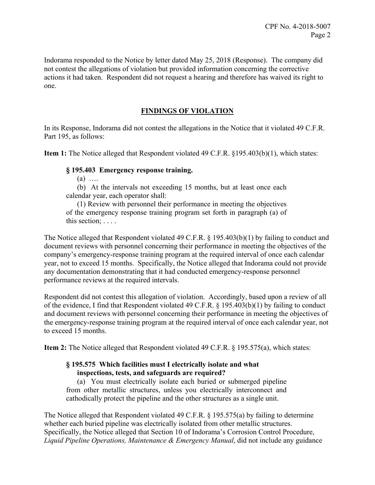Indorama responded to the Notice by letter dated May 25, 2018 (Response). The company did not contest the allegations of violation but provided information concerning the corrective actions it had taken. Respondent did not request a hearing and therefore has waived its right to one.

# **FINDINGS OF VIOLATION**

In its Response, Indorama did not contest the allegations in the Notice that it violated 49 C.F.R. Part 195, as follows:

**Item 1:** The Notice alleged that Respondent violated 49 C.F.R. §195.403(b)(1), which states:

## **§ 195.403 Emergency response training.**

 $(a)$  …

(b) At the intervals not exceeding 15 months, but at least once each calendar year, each operator shall:

(1) Review with personnel their performance in meeting the objectives of the emergency response training program set forth in paragraph (a) of this section; . . . .

 The Notice alleged that Respondent violated 49 C.F.R. § 195.403(b)(1) by failing to conduct and document reviews with personnel concerning their performance in meeting the objectives of the company's emergency-response training program at the required interval of once each calendar year, not to exceed 15 months. Specifically, the Notice alleged that Indorama could not provide any documentation demonstrating that it had conducted emergency-response personnel performance reviews at the required intervals.

Respondent did not contest this allegation of violation. Accordingly, based upon a review of all of the evidence, I find that Respondent violated 49 C.F.R. § 195.403(b)(1) by failing to conduct and document reviews with personnel concerning their performance in meeting the objectives of the emergency-response training program at the required interval of once each calendar year, not to exceed 15 months.

**Item 2:** The Notice alleged that Respondent violated 49 C.F.R. § 195.575(a), which states:

## **§ 195.575 Which facilities must I electrically isolate and what inspections, tests, and safeguards are required?**

(a) You must electrically isolate each buried or submerged pipeline from other metallic structures, unless you electrically interconnect and cathodically protect the pipeline and the other structures as a single unit.

The Notice alleged that Respondent violated 49 C.F.R. § 195.575(a) by failing to determine whether each buried pipeline was electrically isolated from other metallic structures. Specifically, the Notice alleged that Section 10 of Indorama's Corrosion Control Procedure, *Liquid Pipeline Operations, Maintenance & Emergency Manual*, did not include any guidance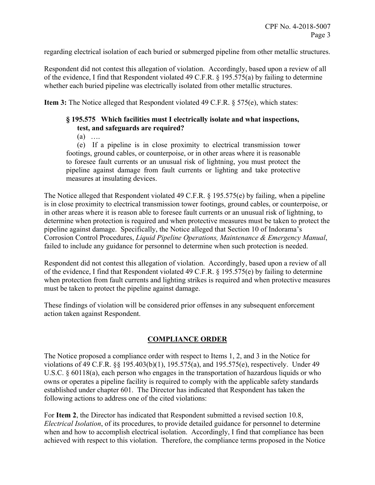regarding electrical isolation of each buried or submerged pipeline from other metallic structures.

Respondent did not contest this allegation of violation. Accordingly, based upon a review of all of the evidence, I find that Respondent violated 49 C.F.R. § 195.575(a) by failing to determine whether each buried pipeline was electrically isolated from other metallic structures.

**Item 3:** The Notice alleged that Respondent violated 49 C.F.R. § 575(e), which states:

# **§ 195.575 Which facilities must I electrically isolate and what inspections, test, and safeguards are required?**

 $(a)$  …

(e) If a pipeline is in close proximity to electrical transmission tower footings, ground cables, or counterpoise, or in other areas where it is reasonable to foresee fault currents or an unusual risk of lightning, you must protect the pipeline against damage from fault currents or lighting and take protective measures at insulating devices.

The Notice alleged that Respondent violated 49 C.F.R. § 195.575(e) by failing, when a pipeline is in close proximity to electrical transmission tower footings, ground cables, or counterpoise, or in other areas where it is reason able to foresee fault currents or an unusual risk of lightning, to determine when protection is required and when protective measures must be taken to protect the pipeline against damage. Specifically, the Notice alleged that Section 10 of Indorama's Corrosion Control Procedures, *Liquid Pipeline Operations, Maintenance & Emergency Manual*, failed to include any guidance for personnel to determine when such protection is needed.

Respondent did not contest this allegation of violation. Accordingly, based upon a review of all of the evidence, I find that Respondent violated 49 C.F.R. § 195.575(e) by failing to determine when protection from fault currents and lighting strikes is required and when protective measures must be taken to protect the pipeline against damage.

These findings of violation will be considered prior offenses in any subsequent enforcement action taken against Respondent.

# **COMPLIANCE ORDER**

The Notice proposed a compliance order with respect to Items 1, 2, and 3 in the Notice for violations of 49 C.F.R. §§ 195.403(b)(1), 195.575(a), and 195.575(e), respectively. Under 49 U.S.C. § 60118(a), each person who engages in the transportation of hazardous liquids or who owns or operates a pipeline facility is required to comply with the applicable safety standards established under chapter 601. The Director has indicated that Respondent has taken the following actions to address one of the cited violations:

For **Item 2**, the Director has indicated that Respondent submitted a revised section 10.8, *Electrical Isolation*, of its procedures, to provide detailed guidance for personnel to determine when and how to accomplish electrical isolation. Accordingly, I find that compliance has been achieved with respect to this violation. Therefore, the compliance terms proposed in the Notice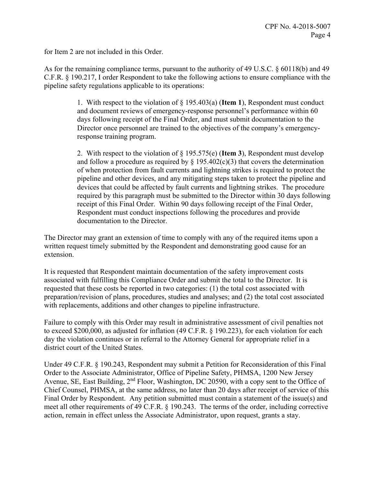for Item 2 are not included in this Order.

As for the remaining compliance terms, pursuant to the authority of 49 U.S.C. § 60118(b) and 49 C.F.R. § 190.217, I order Respondent to take the following actions to ensure compliance with the pipeline safety regulations applicable to its operations:

> 1. With respect to the violation of § 195.403(a) (**Item 1**), Respondent must conduct and document reviews of emergency-response personnel's performance within 60 days following receipt of the Final Order, and must submit documentation to the Director once personnel are trained to the objectives of the company's emergencyresponse training program.

2. With respect to the violation of § 195.575(e) (**Item 3**), Respondent must develop and follow a procedure as required by  $\S$  195.402(c)(3) that covers the determination of when protection from fault currents and lightning strikes is required to protect the pipeline and other devices, and any mitigating steps taken to protect the pipeline and devices that could be affected by fault currents and lightning strikes. The procedure required by this paragraph must be submitted to the Director within 30 days following receipt of this Final Order. Within 90 days following receipt of the Final Order, Respondent must conduct inspections following the procedures and provide documentation to the Director.

The Director may grant an extension of time to comply with any of the required items upon a written request timely submitted by the Respondent and demonstrating good cause for an extension.

It is requested that Respondent maintain documentation of the safety improvement costs associated with fulfilling this Compliance Order and submit the total to the Director. It is requested that these costs be reported in two categories: (1) the total cost associated with preparation/revision of plans, procedures, studies and analyses; and (2) the total cost associated with replacements, additions and other changes to pipeline infrastructure.

Failure to comply with this Order may result in administrative assessment of civil penalties not to exceed \$200,000, as adjusted for inflation (49 C.F.R. § 190.223), for each violation for each day the violation continues or in referral to the Attorney General for appropriate relief in a district court of the United States.

Under 49 C.F.R. § 190.243, Respondent may submit a Petition for Reconsideration of this Final Order to the Associate Administrator, Office of Pipeline Safety, PHMSA, 1200 New Jersey Avenue, SE, East Building, 2<sup>nd</sup> Floor, Washington, DC 20590, with a copy sent to the Office of Chief Counsel, PHMSA, at the same address, no later than 20 days after receipt of service of this Final Order by Respondent. Any petition submitted must contain a statement of the issue(s) and meet all other requirements of 49 C.F.R. § 190.243. The terms of the order, including corrective action, remain in effect unless the Associate Administrator, upon request, grants a stay.